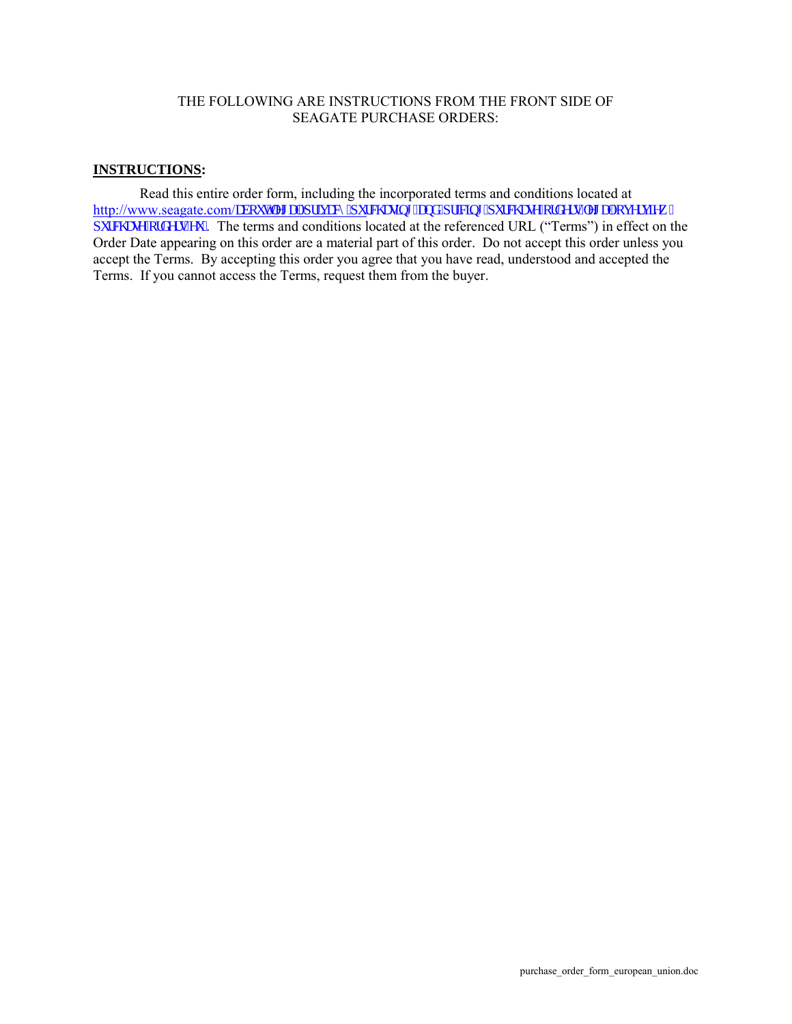## THE FOLLOWING ARE INSTRUCTIONS FROM THE FRONT SIDE OF SEAGATE PURCHASE ORDERS:

## **INSTRUCTIONS :**

Read this entire order form, including the incorporated terms and conditions located at http://www.seagate.com/cdqwlngicn'rtkxce{ lr wtej culpi/cpf/rtlelpi lr wtej cug/qtf gtu/ngicn'qxgtxlgy 1  $\frac{1}{\text{W}}$  The terms and conditions located at the referenced URL ("Terms") in effect on the Order Date appearing on this order are a material part of this order. Do not accept this order unless you accept the Terms. By accepting this order you agree that you have read, understood and accepted the Terms. If you cannot access the Terms, request them from the buyer.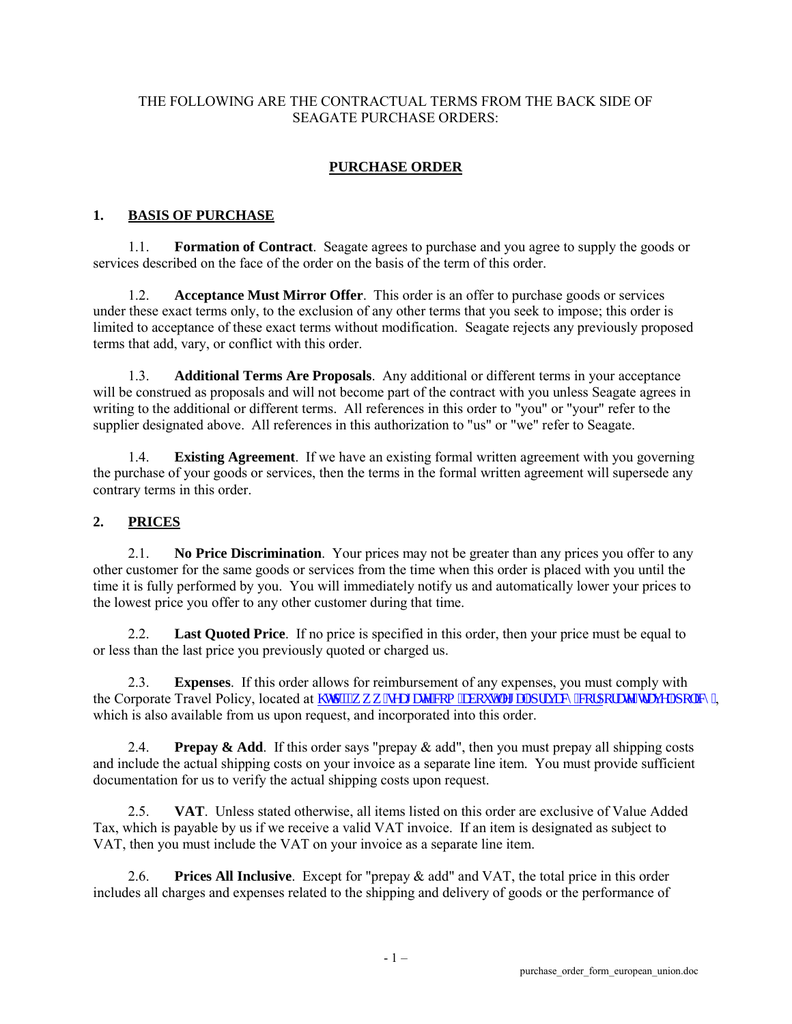## THE FOLLOWING ARE THE CONTRACTUAL TERMS FROM THE BACK SIDE OF SEAGATE PURCHASE ORDERS:

# **PURCHASE ORDER**

#### **1. BASIS OF PURCHASE**

1.1. **Formation of Contract**. Seagate agrees to purchase and you agree to supply the goods or services described on the face of the order on the basis of the term of this order.

1.2. **Acceptance Must Mirror Offer**. This order is an offer to purchase goods or services under these exact terms only, to the exclusion of any other terms that you seek to impose; this order is limited to acceptance of these exact terms without modification. Seagate rejects any previously proposed terms that add, vary, or conflict with this order.

1.3. **Additional Terms Are Proposals**. Any additional or different terms in your acceptance will be construed as proposals and will not become part of the contract with you unless Seagate agrees in writing to the additional or different terms. All references in this order to "you" or "your" refer to the supplier designated above. All references in this authorization to "us" or "we" refer to Seagate.

1.4. **Existing Agreement**. If we have an existing formal written agreement with you governing the purchase of your goods or services, then the terms in the formal written agreement will supersede any contrary terms in this order.

#### **2. PRICES**

2.1. **No Price Discrimination**. Your prices may not be greater than any prices you offer to any other customer for the same goods or services from the time when this order is placed with you until the time it is fully performed by you. You will immediately notify us and automatically lower your prices to the lowest price you offer to any other customer during that time.

2.2. **Last Quoted Price**. If no price is specified in this order, then your price must be equal to or less than the last price you previously quoted or charged us.

2.3. **Expenses**. If this order allows for reimbursement of any expenses, you must comply with the Corporate Travel Policy, located at  $\frac{1}{W}$   $\frac{d\psi}{\psi}$  we the control of details in the factor of the factor of the factor of the factor of the factor of the factor of the factor of the factor of the factor of the which is also available from us upon request, and incorporated into this order.

2.4. **Prepay & Add**. If this order says "prepay & add", then you must prepay all shipping costs and include the actual shipping costs on your invoice as a separate line item. You must provide sufficient documentation for us to verify the actual shipping costs upon request.

2.5. **VAT**. Unless stated otherwise, all items listed on this order are exclusive of Value Added Tax, which is payable by us if we receive a valid VAT invoice. If an item is designated as subject to VAT, then you must include the VAT on your invoice as a separate line item.

2.6. **Prices All Inclusive**. Except for "prepay & add" and VAT, the total price in this order includes all charges and expenses related to the shipping and delivery of goods or the performance of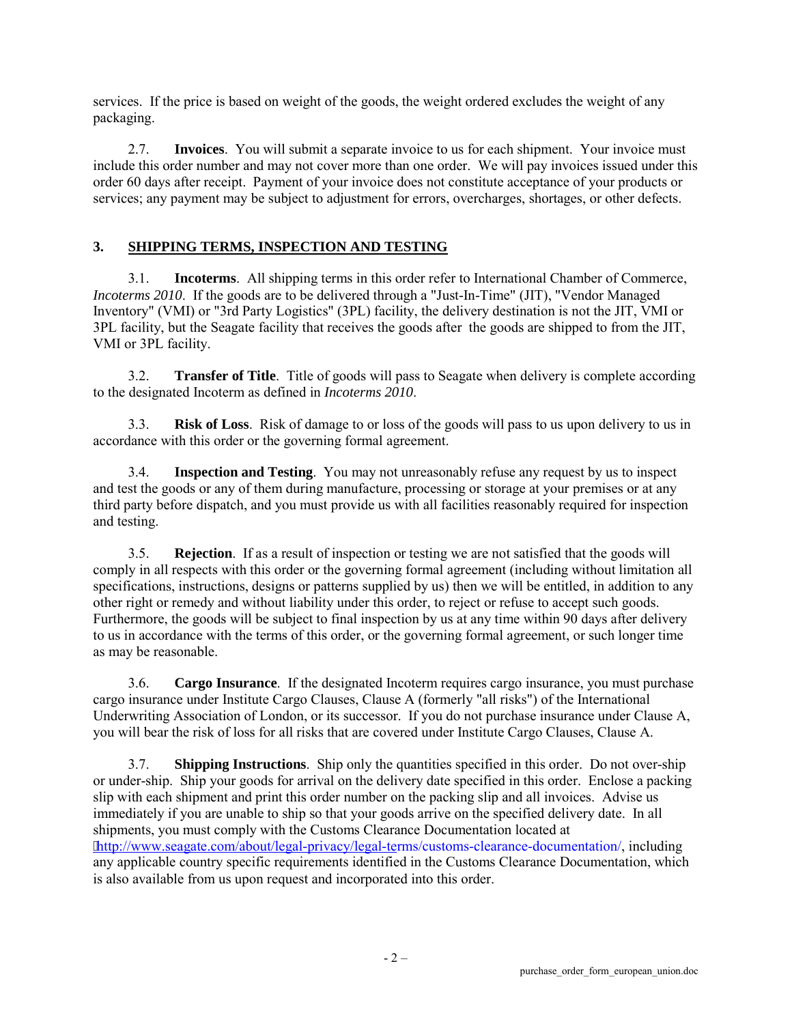services. If the price is based on weight of the goods, the weight ordered excludes the weight of any packaging.

2.7. **Invoices**. You will submit a separate invoice to us for each shipment. Your invoice must include this order number and may not cover more than one order. We will pay invoices issued under this order 60 days after receipt. Payment of your invoice does not constitute acceptance of your products or services; any payment may be subject to adjustment for errors, overcharges, shortages, or other defects.

### **3. SHIPPING TERMS, INSPECTION AND TESTING**

3.1. **Incoterms**. All shipping terms in this order refer to International Chamber of Commerce, *Incoterms 2010*. If the goods are to be delivered through a "Just-In-Time" (JIT), "Vendor Managed Inventory" (VMI) or "3rd Party Logistics" (3PL) facility, the delivery destination is not the JIT, VMI or 3PL facility, but the Seagate facility that receives the goods after the goods are shipped to from the JIT, VMI or 3PL facility.

3.2. **Transfer of Title**. Title of goods will pass to Seagate when delivery is complete according to the designated Incoterm as defined in *Incoterms 2010*.

3.3. **Risk of Loss**. Risk of damage to or loss of the goods will pass to us upon delivery to us in accordance with this order or the governing formal agreement.

3.4. **Inspection and Testing**. You may not unreasonably refuse any request by us to inspect and test the goods or any of them during manufacture, processing or storage at your premises or at any third party before dispatch, and you must provide us with all facilities reasonably required for inspection and testing.

3.5. **Rejection**. If as a result of inspection or testing we are not satisfied that the goods will comply in all respects with this order or the governing formal agreement (including without limitation all specifications, instructions, designs or patterns supplied by us) then we will be entitled, in addition to any other right or remedy and without liability under this order, to reject or refuse to accept such goods. Furthermore, the goods will be subject to final inspection by us at any time within 90 days after delivery to us in accordance with the terms of this order, or the governing formal agreement, or such longer time as may be reasonable.

3.6. **Cargo Insurance**. If the designated Incoterm requires cargo insurance, you must purchase cargo insurance under Institute Cargo Clauses, Clause A (formerly "all risks") of the International Underwriting Association of London, or its successor. If you do not purchase insurance under Clause A, you will bear the risk of loss for all risks that are covered under Institute Cargo Clauses, Clause A.

3.7. **Shipping Instructions**. Ship only the quantities specified in this order. Do not over-ship or under-ship. Ship your goods for arrival on the delivery date specified in this order. Enclose a packing slip with each shipment and print this order number on the packing slip and all invoices. Advise us immediately if you are unable to ship so that your goods arrive on the specified delivery date. In all shipments, you must comply with the Customs Clearance Documentation located at [http://www.seagate.com/about/legal-privacy/legal-terms/customs-clearance-documentation/,](http://www.seagate.com/about/legal-privacy/legal-terms/customs-clearance-documentation/) including any applicable country specific requirements identified in the Customs Clearance Documentation, which is also available from us upon request and incorporated into this order.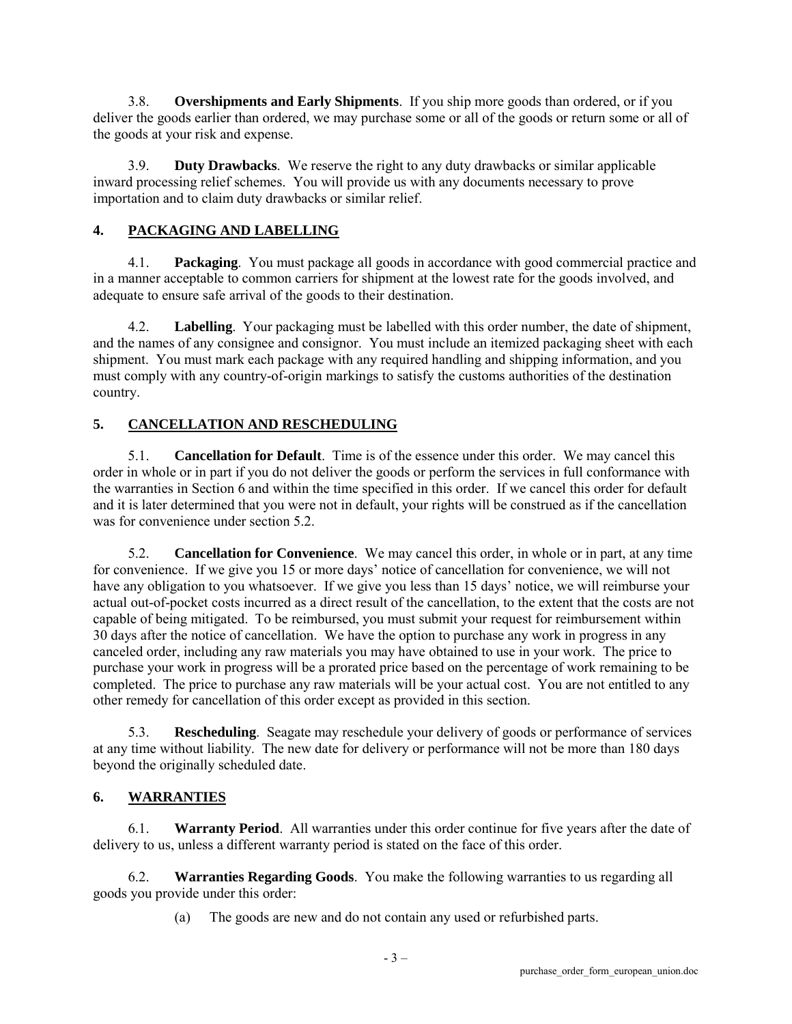3.8. **Overshipments and Early Shipments**. If you ship more goods than ordered, or if you deliver the goods earlier than ordered, we may purchase some or all of the goods or return some or all of the goods at your risk and expense.

3.9. **Duty Drawbacks**. We reserve the right to any duty drawbacks or similar applicable inward processing relief schemes. You will provide us with any documents necessary to prove importation and to claim duty drawbacks or similar relief.

## **4. PACKAGING AND LABELLING**

4.1. **Packaging**. You must package all goods in accordance with good commercial practice and in a manner acceptable to common carriers for shipment at the lowest rate for the goods involved, and adequate to ensure safe arrival of the goods to their destination.

4.2. **Labelling**. Your packaging must be labelled with this order number, the date of shipment, and the names of any consignee and consignor. You must include an itemized packaging sheet with each shipment. You must mark each package with any required handling and shipping information, and you must comply with any country-of-origin markings to satisfy the customs authorities of the destination country.

## **5. CANCELLATION AND RESCHEDULING**

5.1. **Cancellation for Default**. Time is of the essence under this order. We may cancel this order in whole or in part if you do not deliver the goods or perform the services in full conformance with the warranties in Section 6 and within the time specified in this order. If we cancel this order for default and it is later determined that you were not in default, your rights will be construed as if the cancellation was for convenience under section 5.2.

5.2. **Cancellation for Convenience**. We may cancel this order, in whole or in part, at any time for convenience. If we give you 15 or more days' notice of cancellation for convenience, we will not have any obligation to you whatsoever. If we give you less than 15 days' notice, we will reimburse your actual out-of-pocket costs incurred as a direct result of the cancellation, to the extent that the costs are not capable of being mitigated. To be reimbursed, you must submit your request for reimbursement within 30 days after the notice of cancellation. We have the option to purchase any work in progress in any canceled order, including any raw materials you may have obtained to use in your work. The price to purchase your work in progress will be a prorated price based on the percentage of work remaining to be completed. The price to purchase any raw materials will be your actual cost. You are not entitled to any other remedy for cancellation of this order except as provided in this section.

5.3. **Rescheduling**. Seagate may reschedule your delivery of goods or performance of services at any time without liability. The new date for delivery or performance will not be more than 180 days beyond the originally scheduled date.

### **6. WARRANTIES**

6.1. **Warranty Period**. All warranties under this order continue for five years after the date of delivery to us, unless a different warranty period is stated on the face of this order.

6.2. **Warranties Regarding Goods**. You make the following warranties to us regarding all goods you provide under this order:

(a) The goods are new and do not contain any used or refurbished parts.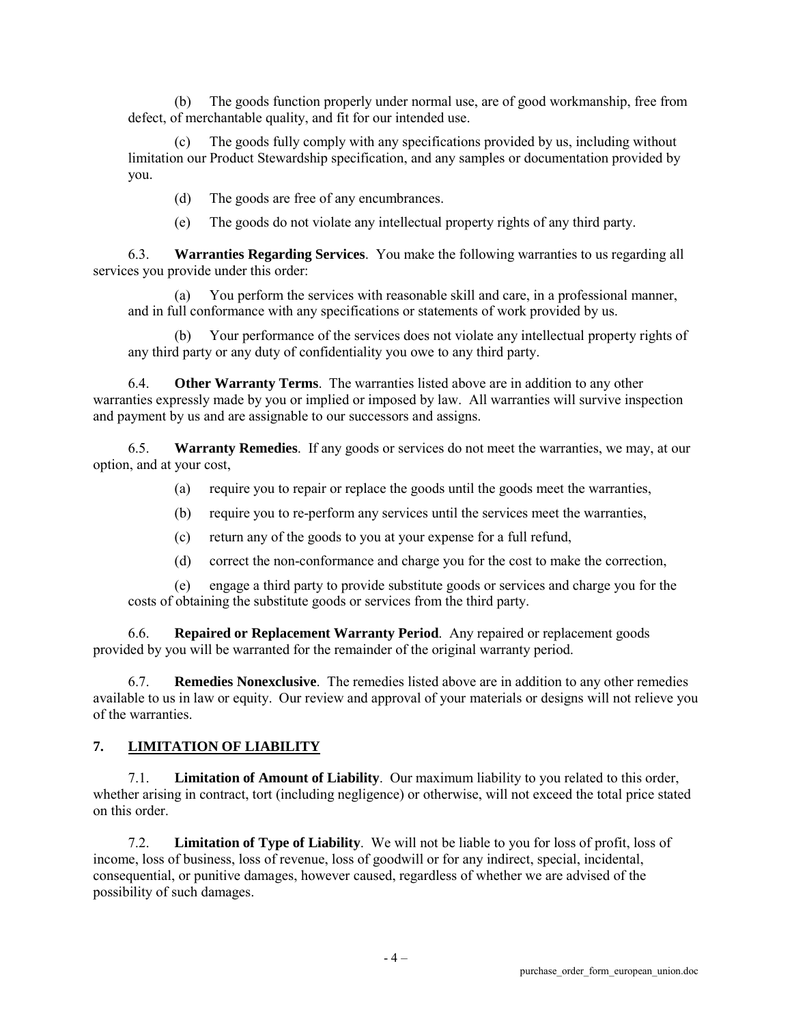(b) The goods function properly under normal use, are of good workmanship, free from defect, of merchantable quality, and fit for our intended use.

(c) The goods fully comply with any specifications provided by us, including without limitation our Product Stewardship specification, and any samples or documentation provided by you.

(d) The goods are free of any encumbrances.

(e) The goods do not violate any intellectual property rights of any third party.

6.3. **Warranties Regarding Services**. You make the following warranties to us regarding all services you provide under this order:

(a) You perform the services with reasonable skill and care, in a professional manner, and in full conformance with any specifications or statements of work provided by us.

(b) Your performance of the services does not violate any intellectual property rights of any third party or any duty of confidentiality you owe to any third party.

6.4. **Other Warranty Terms**. The warranties listed above are in addition to any other warranties expressly made by you or implied or imposed by law. All warranties will survive inspection and payment by us and are assignable to our successors and assigns.

6.5. **Warranty Remedies**. If any goods or services do not meet the warranties, we may, at our option, and at your cost,

(a) require you to repair or replace the goods until the goods meet the warranties,

- (b) require you to re-perform any services until the services meet the warranties,
- (c) return any of the goods to you at your expense for a full refund,
- (d) correct the non-conformance and charge you for the cost to make the correction,

(e) engage a third party to provide substitute goods or services and charge you for the costs of obtaining the substitute goods or services from the third party.

6.6. **Repaired or Replacement Warranty Period**. Any repaired or replacement goods provided by you will be warranted for the remainder of the original warranty period.

6.7. **Remedies Nonexclusive**. The remedies listed above are in addition to any other remedies available to us in law or equity. Our review and approval of your materials or designs will not relieve you of the warranties.

#### **7. LIMITATION OF LIABILITY**

7.1. **Limitation of Amount of Liability**. Our maximum liability to you related to this order, whether arising in contract, tort (including negligence) or otherwise, will not exceed the total price stated on this order.

7.2. **Limitation of Type of Liability**. We will not be liable to you for loss of profit, loss of income, loss of business, loss of revenue, loss of goodwill or for any indirect, special, incidental, consequential, or punitive damages, however caused, regardless of whether we are advised of the possibility of such damages.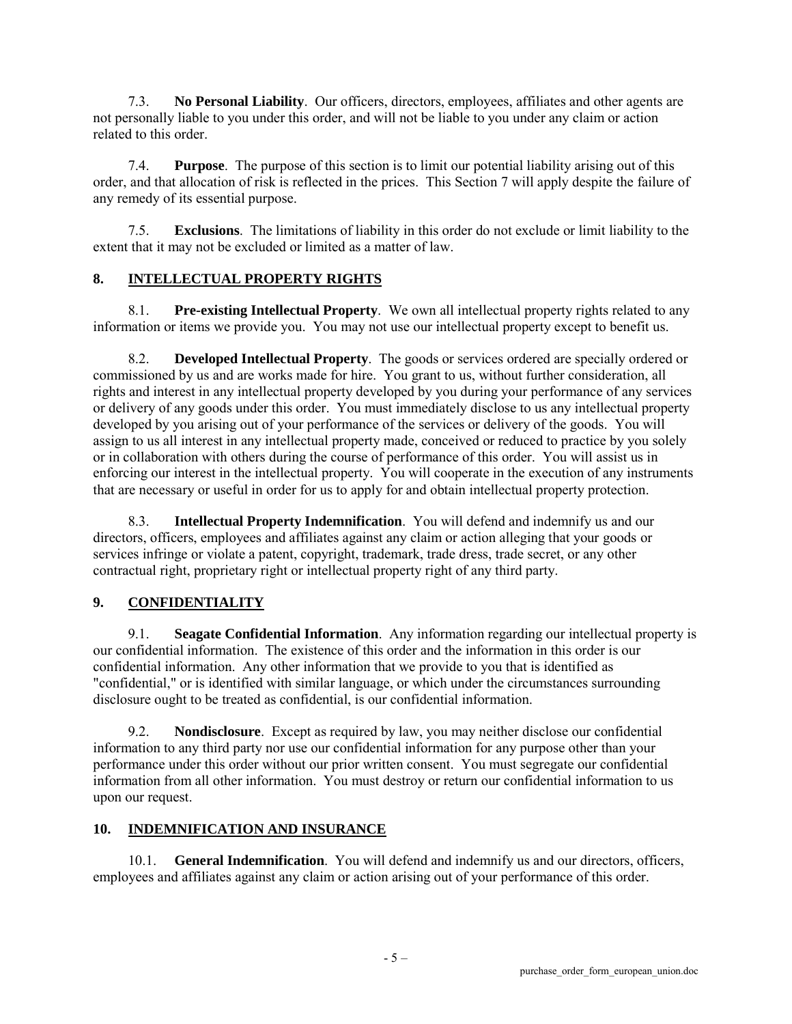7.3. **No Personal Liability**. Our officers, directors, employees, affiliates and other agents are not personally liable to you under this order, and will not be liable to you under any claim or action related to this order.

7.4. **Purpose**. The purpose of this section is to limit our potential liability arising out of this order, and that allocation of risk is reflected in the prices. This Section 7 will apply despite the failure of any remedy of its essential purpose.

7.5. **Exclusions**. The limitations of liability in this order do not exclude or limit liability to the extent that it may not be excluded or limited as a matter of law.

### **8. INTELLECTUAL PROPERTY RIGHTS**

8.1. **Pre-existing Intellectual Property**. We own all intellectual property rights related to any information or items we provide you. You may not use our intellectual property except to benefit us.

8.2. **Developed Intellectual Property**. The goods or services ordered are specially ordered or commissioned by us and are works made for hire. You grant to us, without further consideration, all rights and interest in any intellectual property developed by you during your performance of any services or delivery of any goods under this order. You must immediately disclose to us any intellectual property developed by you arising out of your performance of the services or delivery of the goods. You will assign to us all interest in any intellectual property made, conceived or reduced to practice by you solely or in collaboration with others during the course of performance of this order. You will assist us in enforcing our interest in the intellectual property. You will cooperate in the execution of any instruments that are necessary or useful in order for us to apply for and obtain intellectual property protection.

8.3. **Intellectual Property Indemnification**. You will defend and indemnify us and our directors, officers, employees and affiliates against any claim or action alleging that your goods or services infringe or violate a patent, copyright, trademark, trade dress, trade secret, or any other contractual right, proprietary right or intellectual property right of any third party.

### **9. CONFIDENTIALITY**

9.1. **Seagate Confidential Information**. Any information regarding our intellectual property is our confidential information. The existence of this order and the information in this order is our confidential information. Any other information that we provide to you that is identified as "confidential," or is identified with similar language, or which under the circumstances surrounding disclosure ought to be treated as confidential, is our confidential information.

9.2. **Nondisclosure**. Except as required by law, you may neither disclose our confidential information to any third party nor use our confidential information for any purpose other than your performance under this order without our prior written consent. You must segregate our confidential information from all other information. You must destroy or return our confidential information to us upon our request.

#### **10. INDEMNIFICATION AND INSURANCE**

10.1. **General Indemnification**. You will defend and indemnify us and our directors, officers, employees and affiliates against any claim or action arising out of your performance of this order.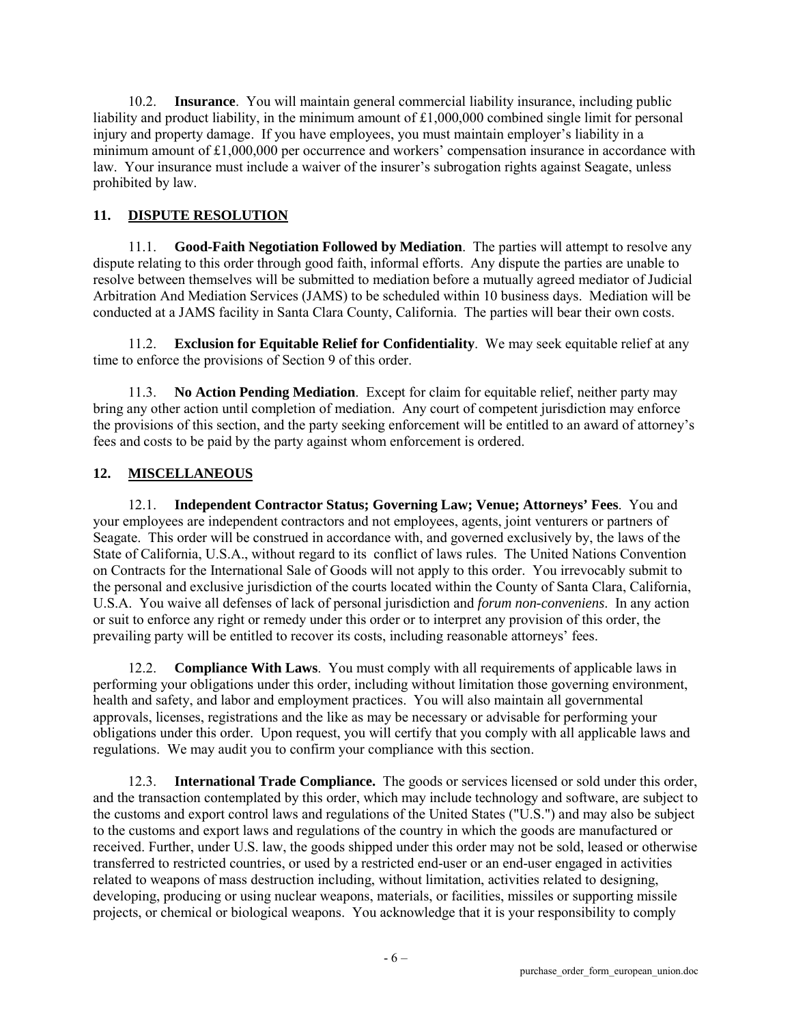10.2. **Insurance**. You will maintain general commercial liability insurance, including public liability and product liability, in the minimum amount of  $£1,000,000$  combined single limit for personal injury and property damage. If you have employees, you must maintain employer's liability in a minimum amount of £1,000,000 per occurrence and workers' compensation insurance in accordance with law. Your insurance must include a waiver of the insurer's subrogation rights against Seagate, unless prohibited by law.

#### **11. DISPUTE RESOLUTION**

11.1. **Good-Faith Negotiation Followed by Mediation**. The parties will attempt to resolve any dispute relating to this order through good faith, informal efforts. Any dispute the parties are unable to resolve between themselves will be submitted to mediation before a mutually agreed mediator of Judicial Arbitration And Mediation Services (JAMS) to be scheduled within 10 business days. Mediation will be conducted at a JAMS facility in Santa Clara County, California. The parties will bear their own costs.

11.2. **Exclusion for Equitable Relief for Confidentiality**. We may seek equitable relief at any time to enforce the provisions of Section 9 of this order.

11.3. **No Action Pending Mediation**. Except for claim for equitable relief, neither party may bring any other action until completion of mediation. Any court of competent jurisdiction may enforce the provisions of this section, and the party seeking enforcement will be entitled to an award of attorney's fees and costs to be paid by the party against whom enforcement is ordered.

### **12. MISCELLANEOUS**

12.1. **Independent Contractor Status; Governing Law; Venue; Attorneys' Fees**. You and your employees are independent contractors and not employees, agents, joint venturers or partners of Seagate. This order will be construed in accordance with, and governed exclusively by, the laws of the State of California, U.S.A., without regard to its conflict of laws rules. The United Nations Convention on Contracts for the International Sale of Goods will not apply to this order. You irrevocably submit to the personal and exclusive jurisdiction of the courts located within the County of Santa Clara, California, U.S.A. You waive all defenses of lack of personal jurisdiction and *forum non-conveniens*. In any action or suit to enforce any right or remedy under this order or to interpret any provision of this order, the prevailing party will be entitled to recover its costs, including reasonable attorneys' fees.

12.2. **Compliance With Laws**. You must comply with all requirements of applicable laws in performing your obligations under this order, including without limitation those governing environment, health and safety, and labor and employment practices. You will also maintain all governmental approvals, licenses, registrations and the like as may be necessary or advisable for performing your obligations under this order. Upon request, you will certify that you comply with all applicable laws and regulations. We may audit you to confirm your compliance with this section.

12.3. **International Trade Compliance.** The goods or services licensed or sold under this order, and the transaction contemplated by this order, which may include technology and software, are subject to the customs and export control laws and regulations of the United States ("U.S.") and may also be subject to the customs and export laws and regulations of the country in which the goods are manufactured or received. Further, under U.S. law, the goods shipped under this order may not be sold, leased or otherwise transferred to restricted countries, or used by a restricted end-user or an end-user engaged in activities related to weapons of mass destruction including, without limitation, activities related to designing, developing, producing or using nuclear weapons, materials, or facilities, missiles or supporting missile projects, or chemical or biological weapons. You acknowledge that it is your responsibility to comply